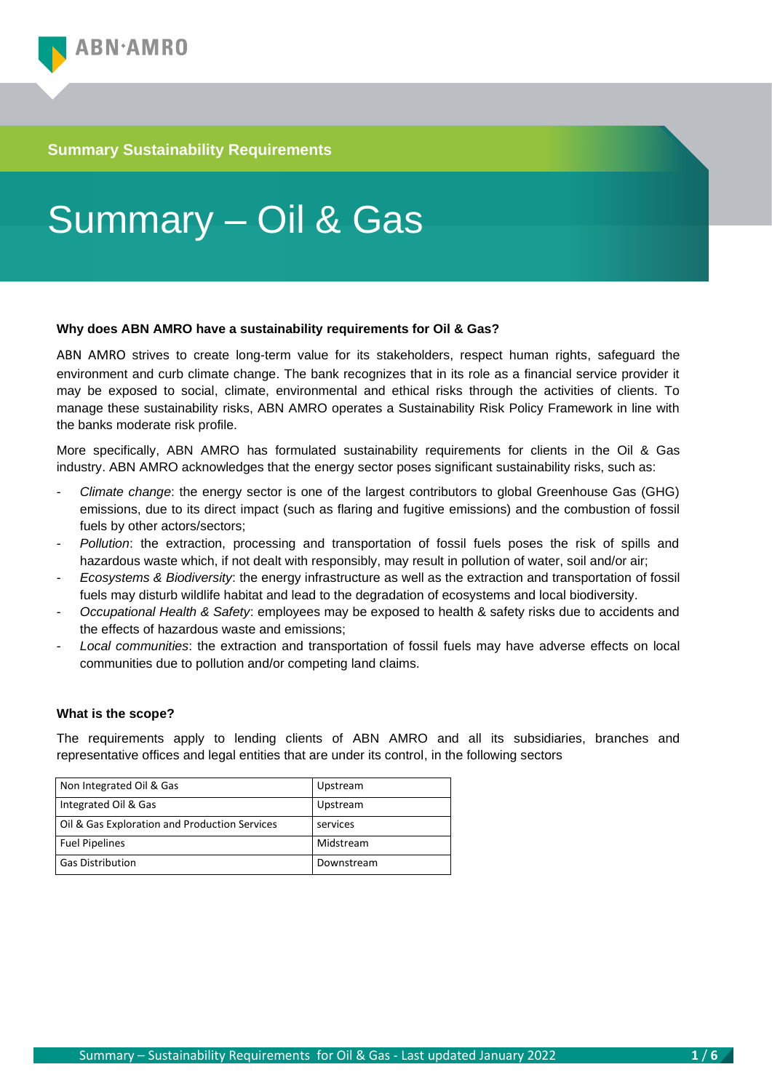## **Summary Sustainability Requirements**

# Summary – Oil & Gas

#### **Why does ABN AMRO have a sustainability requirements for Oil & Gas?**

ABN AMRO strives to create long-term value for its stakeholders, respect human rights, safeguard the environment and curb climate change. The bank recognizes that in its role as a financial service provider it may be exposed to social, climate, environmental and ethical risks through the activities of clients. To manage these sustainability risks, ABN AMRO operates a Sustainability Risk Policy Framework in line with the banks moderate risk profile.

More specifically, ABN AMRO has formulated sustainability requirements for clients in the Oil & Gas industry. ABN AMRO acknowledges that the energy sector poses significant sustainability risks, such as:

- *Climate change*: the energy sector is one of the largest contributors to global Greenhouse Gas (GHG) emissions, due to its direct impact (such as flaring and fugitive emissions) and the combustion of fossil fuels by other actors/sectors;
- *Pollution*: the extraction, processing and transportation of fossil fuels poses the risk of spills and hazardous waste which, if not dealt with responsibly, may result in pollution of water, soil and/or air;
- *Ecosystems & Biodiversity*: the energy infrastructure as well as the extraction and transportation of fossil fuels may disturb wildlife habitat and lead to the degradation of ecosystems and local biodiversity.
- *Occupational Health & Safety*: employees may be exposed to health & safety risks due to accidents and the effects of hazardous waste and emissions;
- *Local communities*: the extraction and transportation of fossil fuels may have adverse effects on local communities due to pollution and/or competing land claims.

#### **What is the scope?**

The requirements apply to lending clients of ABN AMRO and all its subsidiaries, branches and representative offices and legal entities that are under its control, in the following sectors

| Non Integrated Oil & Gas                      | Upstream   |
|-----------------------------------------------|------------|
| Integrated Oil & Gas                          | Upstream   |
| Oil & Gas Exploration and Production Services | services   |
| <b>Fuel Pipelines</b>                         | Midstream  |
| <b>Gas Distribution</b>                       | Downstream |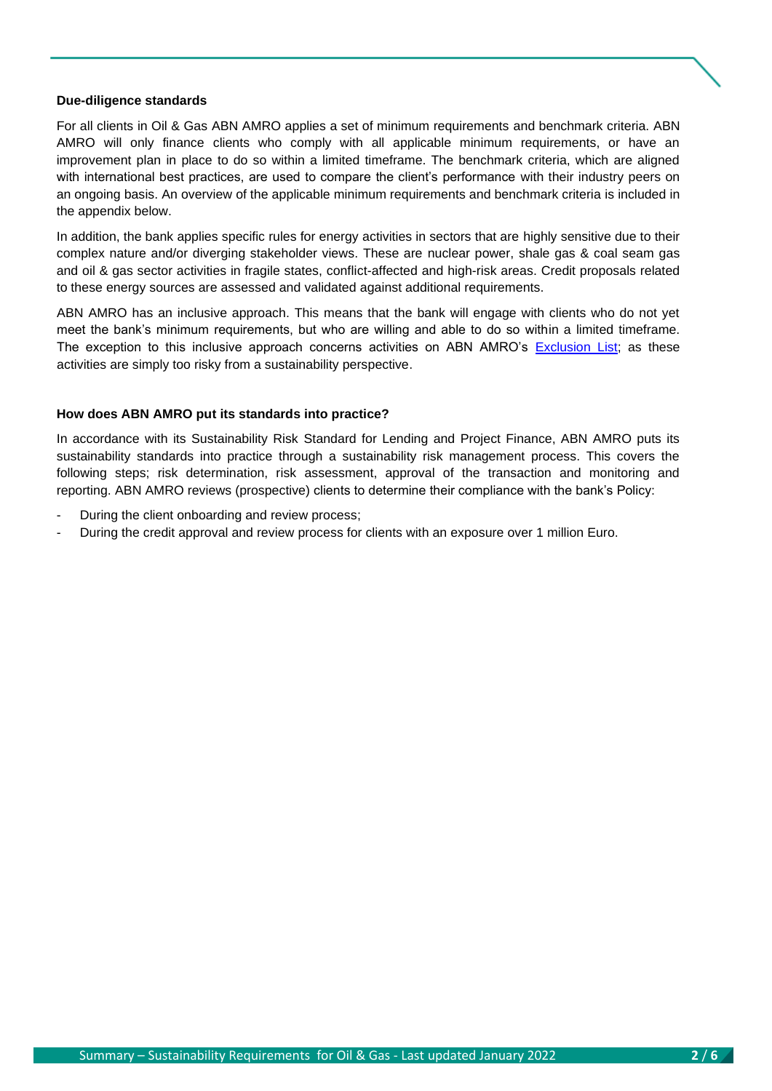#### **Due-diligence standards**

For all clients in Oil & Gas ABN AMRO applies a set of minimum requirements and benchmark criteria. ABN AMRO will only finance clients who comply with all applicable minimum requirements, or have an improvement plan in place to do so within a limited timeframe. The benchmark criteria, which are aligned with international best practices, are used to compare the client's performance with their industry peers on an ongoing basis. An overview of the applicable minimum requirements and benchmark criteria is included in the appendix below.

In addition, the bank applies specific rules for energy activities in sectors that are highly sensitive due to their complex nature and/or diverging stakeholder views. These are nuclear power, shale gas & coal seam gas and oil & gas sector activities in fragile states, conflict-affected and high-risk areas. Credit proposals related to these energy sources are assessed and validated against additional requirements.

ABN AMRO has an inclusive approach. This means that the bank will engage with clients who do not yet meet the bank's minimum requirements, but who are willing and able to do so within a limited timeframe. The exception to this inclusive approach concerns activities on ABN AMRO's [Exclusion List;](https://assets.ctfassets.net/1u811bvgvthc/VJtezrhOlLtc4EWCWHlGH/f2ab66da23348553daf042fadd7614ed/ABN_AMRO_Exclusion_List-20211125.pdf) as these activities are simply too risky from a sustainability perspective.

#### **How does ABN AMRO put its standards into practice?**

In accordance with its Sustainability Risk Standard for Lending and Project Finance, ABN AMRO puts its sustainability standards into practice through a sustainability risk management process. This covers the following steps; risk determination, risk assessment, approval of the transaction and monitoring and reporting. ABN AMRO reviews (prospective) clients to determine their compliance with the bank's Policy:

- During the client onboarding and review process;
- During the credit approval and review process for clients with an exposure over 1 million Euro.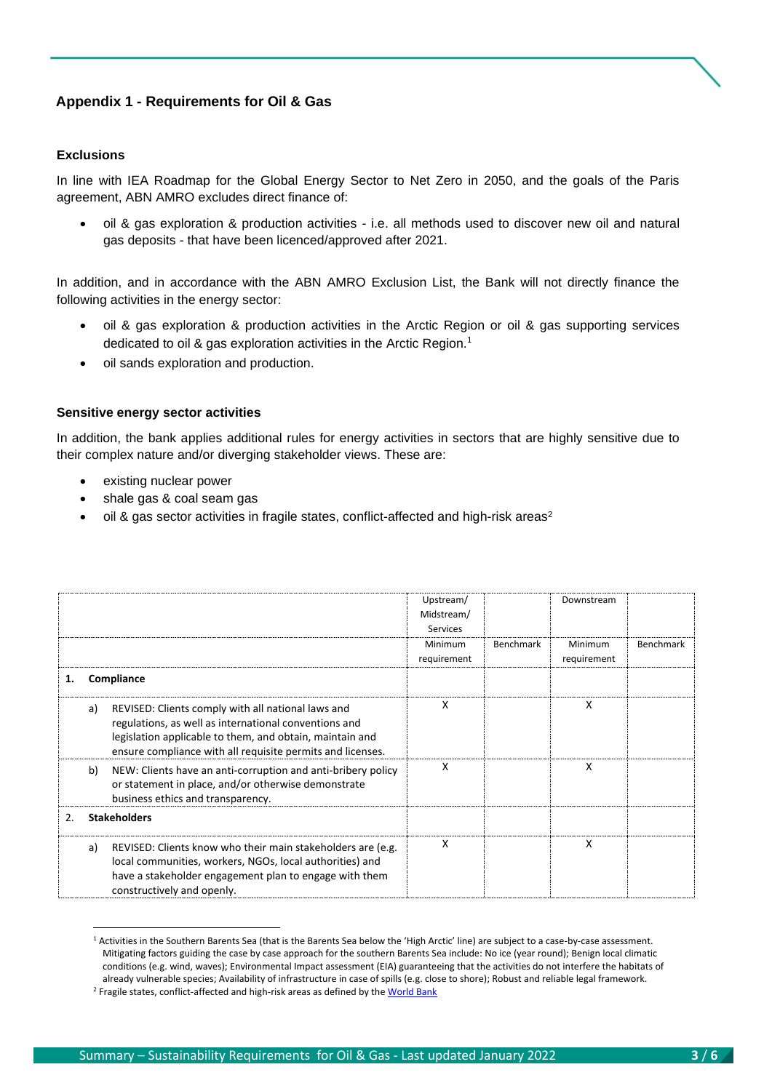# **Appendix 1 - Requirements for Oil & Gas**

## **Exclusions**

In line with IEA Roadmap for the Global Energy Sector to Net Zero in 2050, and the goals of the Paris agreement, ABN AMRO excludes direct finance of:

• oil & gas exploration & production activities - i.e. all methods used to discover new oil and natural gas deposits - that have been licenced/approved after 2021.

In addition, and in accordance with the ABN AMRO Exclusion List, the Bank will not directly finance the following activities in the energy sector:

- oil & gas exploration & production activities in the Arctic Region or oil & gas supporting services dedicated to oil & gas exploration activities in the [Arctic Region.](http://arctic.fws.gov/)<sup>[1](http://arctic.fws.gov/)</sup>
- oil sands exploration and production.

### **Sensitive energy sector activities**

In addition, the bank applies additional rules for energy activities in sectors that are highly sensitive due to their complex nature and/or diverging stakeholder views. These are:

- existing nuclear power
- shale gas & coal seam gas
- oil & gas sector activities in fragile states, conflict-affected and high-risk areas<sup>2</sup>

|                       |    |                                                                                                                                                                                                                                       | Upstream/<br>Midstream/<br><b>Services</b> |           | Downstream             |                  |
|-----------------------|----|---------------------------------------------------------------------------------------------------------------------------------------------------------------------------------------------------------------------------------------|--------------------------------------------|-----------|------------------------|------------------|
|                       |    |                                                                                                                                                                                                                                       | Minimum<br>requirement                     | Benchmark | Minimum<br>requirement | <b>Benchmark</b> |
|                       |    | Compliance                                                                                                                                                                                                                            |                                            |           |                        |                  |
|                       | a) | REVISED: Clients comply with all national laws and<br>regulations, as well as international conventions and<br>legislation applicable to them, and obtain, maintain and<br>ensure compliance with all requisite permits and licenses. | x                                          |           | х                      |                  |
|                       | b) | NEW: Clients have an anti-corruption and anti-bribery policy<br>or statement in place, and/or otherwise demonstrate<br>business ethics and transparency.                                                                              | X                                          |           | x                      |                  |
| $\mathcal{P}_{\cdot}$ |    | <b>Stakeholders</b>                                                                                                                                                                                                                   |                                            |           |                        |                  |
|                       | a) | REVISED: Clients know who their main stakeholders are (e.g.<br>local communities, workers, NGOs, local authorities) and<br>have a stakeholder engagement plan to engage with them<br>constructively and openly.                       | X                                          |           | x                      |                  |

<sup>&</sup>lt;sup>1</sup> Activities in the Southern Barents Sea (that is the Barents Sea below the 'High Arctic' line) are subject to a case-by-case assessment. Mitigating factors guiding the case by case approach for the southern Barents Sea include: No ice (year round); Benign local climatic conditions (e.g. wind, waves); Environmental Impact assessment (EIA) guaranteeing that the activities do not interfere the habitats of already vulnerable species; Availability of infrastructure in case of spills (e.g. close to shore); Robust and reliable legal framework.

<sup>&</sup>lt;sup>2</sup> Fragile states, conflict-affected and high-risk areas as defined by th[e World Bank](http://web.worldbank.org/WBSITE/EXTERNAL/PROJECTS/STRATEGIES/EXTLICUS/0,,menuPK:511784~pagePK:64171540~piPK:64171528~theSitePK:511778,00.html)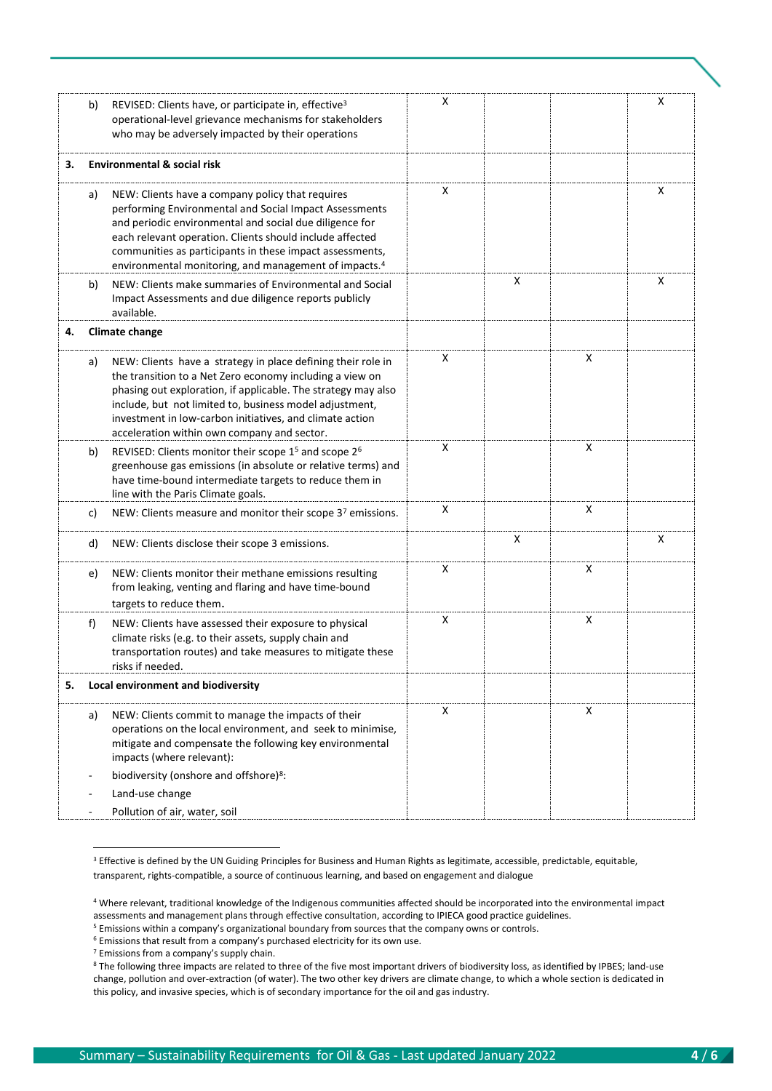|    | b) | REVISED: Clients have, or participate in, effective <sup>3</sup><br>operational-level grievance mechanisms for stakeholders<br>who may be adversely impacted by their operations                                                                                                                                                                                   | x |   |   | х |
|----|----|--------------------------------------------------------------------------------------------------------------------------------------------------------------------------------------------------------------------------------------------------------------------------------------------------------------------------------------------------------------------|---|---|---|---|
| з. |    | <b>Environmental &amp; social risk</b>                                                                                                                                                                                                                                                                                                                             |   |   |   |   |
|    | a) | NEW: Clients have a company policy that requires<br>performing Environmental and Social Impact Assessments<br>and periodic environmental and social due diligence for<br>each relevant operation. Clients should include affected<br>communities as participants in these impact assessments,<br>environmental monitoring, and management of impacts. <sup>4</sup> | X |   |   | X |
|    | b) | NEW: Clients make summaries of Environmental and Social<br>Impact Assessments and due diligence reports publicly<br>available.                                                                                                                                                                                                                                     |   | X |   | X |
| 4. |    | <b>Climate change</b>                                                                                                                                                                                                                                                                                                                                              |   |   |   |   |
|    | a) | NEW: Clients have a strategy in place defining their role in<br>the transition to a Net Zero economy including a view on<br>phasing out exploration, if applicable. The strategy may also<br>include, but not limited to, business model adjustment,<br>investment in low-carbon initiatives, and climate action<br>acceleration within own company and sector.    | X |   | X |   |
|    | b) | REVISED: Clients monitor their scope 1 <sup>5</sup> and scope 2 <sup>6</sup><br>greenhouse gas emissions (in absolute or relative terms) and<br>have time-bound intermediate targets to reduce them in<br>line with the Paris Climate goals.                                                                                                                       | X |   | x |   |
|    | c) | NEW: Clients measure and monitor their scope 37 emissions.                                                                                                                                                                                                                                                                                                         | X |   | X |   |
|    | d) | NEW: Clients disclose their scope 3 emissions.                                                                                                                                                                                                                                                                                                                     |   | X |   | X |
|    | e) | NEW: Clients monitor their methane emissions resulting<br>from leaking, venting and flaring and have time-bound<br>targets to reduce them.                                                                                                                                                                                                                         | x |   | X |   |
|    | f) | NEW: Clients have assessed their exposure to physical<br>climate risks (e.g. to their assets, supply chain and<br>transportation routes) and take measures to mitigate these<br>risks if needed.                                                                                                                                                                   | X |   | x |   |
| 5. |    | Local environment and biodiversity                                                                                                                                                                                                                                                                                                                                 |   |   |   |   |
|    | a) | NEW: Clients commit to manage the impacts of their<br>operations on the local environment, and seek to minimise,<br>mitigate and compensate the following key environmental<br>impacts (where relevant):                                                                                                                                                           | X |   | x |   |
|    |    | biodiversity (onshore and offshore) <sup>8</sup> :                                                                                                                                                                                                                                                                                                                 |   |   |   |   |
|    |    | Land-use change<br>Pollution of air, water, soil                                                                                                                                                                                                                                                                                                                   |   |   |   |   |
|    |    |                                                                                                                                                                                                                                                                                                                                                                    |   |   |   |   |

<sup>&</sup>lt;sup>3</sup> Effective is defined by the UN Guiding Principles for Business and Human Rights as legitimate, accessible, predictable, equitable, transparent, rights-compatible, a source of continuous learning, and based on engagement and dialogue

<sup>4</sup> Where relevant, traditional knowledge of the Indigenous communities affected should be incorporated into the environmental impact assessments and management plans through effective consultation, according to IPIECA good practice guidelines.

<sup>5</sup> Emissions within a company's organizational boundary from sources that the company owns or controls.

<sup>6</sup> Emissions that result from a company's purchased electricity for its own use.

<sup>&</sup>lt;sup>7</sup> Emissions from a company's supply chain.

<sup>8</sup> The following three impacts are related to three of the five most important drivers of biodiversity loss, as identified by IPBES; land-use change, pollution and over-extraction (of water). The two other key drivers are climate change, to which a whole section is dedicated in this policy, and invasive species, which is of secondary importance for the oil and gas industry.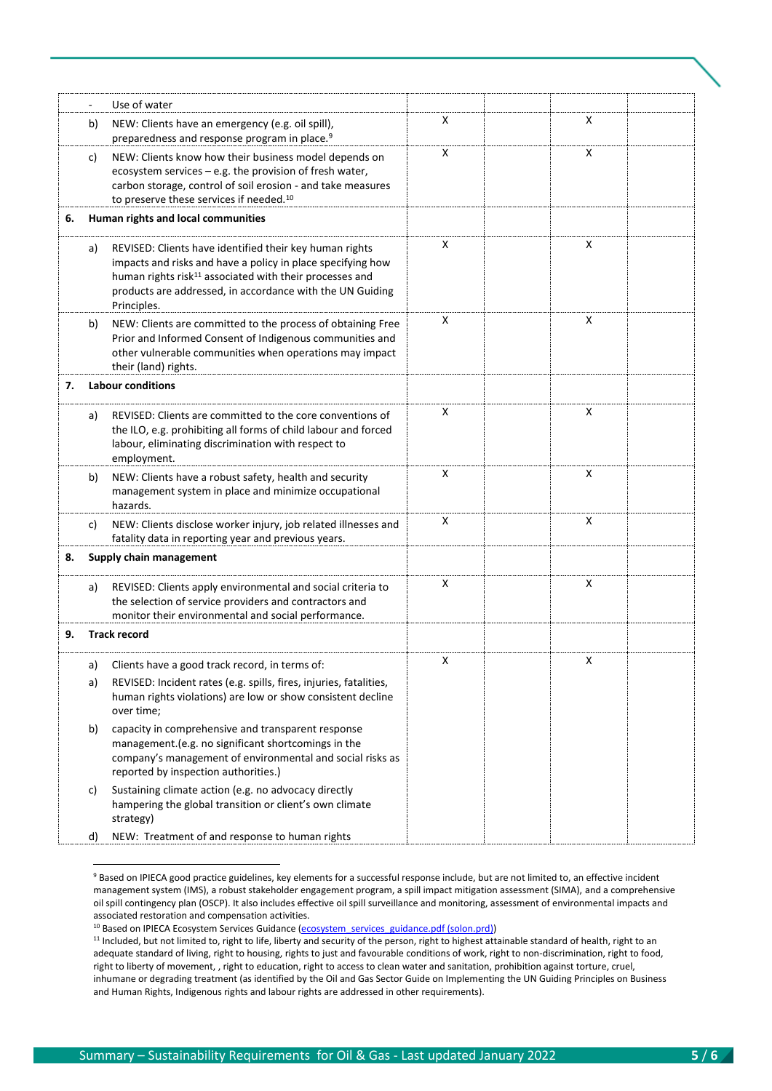|    |    | Use of water                                                                                                                                                                                                                                                              |   |   |  |
|----|----|---------------------------------------------------------------------------------------------------------------------------------------------------------------------------------------------------------------------------------------------------------------------------|---|---|--|
|    | b) | NEW: Clients have an emergency (e.g. oil spill),<br>preparedness and response program in place. <sup>9</sup>                                                                                                                                                              | x | x |  |
|    | c) | NEW: Clients know how their business model depends on<br>ecosystem services - e.g. the provision of fresh water,<br>carbon storage, control of soil erosion - and take measures<br>to preserve these services if needed. <sup>10</sup>                                    | x | x |  |
| 6. |    | Human rights and local communities                                                                                                                                                                                                                                        |   |   |  |
|    | a) | REVISED: Clients have identified their key human rights<br>impacts and risks and have a policy in place specifying how<br>human rights risk <sup>11</sup> associated with their processes and<br>products are addressed, in accordance with the UN Guiding<br>Principles. | x | x |  |
|    | b) | NEW: Clients are committed to the process of obtaining Free<br>Prior and Informed Consent of Indigenous communities and<br>other vulnerable communities when operations may impact<br>their (land) rights.                                                                | x | x |  |
| 7. |    | <b>Labour conditions</b>                                                                                                                                                                                                                                                  |   |   |  |
|    | a) | REVISED: Clients are committed to the core conventions of<br>the ILO, e.g. prohibiting all forms of child labour and forced<br>labour, eliminating discrimination with respect to<br>employment.                                                                          | X | X |  |
|    | b) | NEW: Clients have a robust safety, health and security<br>management system in place and minimize occupational<br>hazards.                                                                                                                                                | x | x |  |
|    | c) | NEW: Clients disclose worker injury, job related illnesses and<br>fatality data in reporting year and previous years.                                                                                                                                                     | x | x |  |
| 8. |    | Supply chain management                                                                                                                                                                                                                                                   |   |   |  |
|    | a) | REVISED: Clients apply environmental and social criteria to<br>the selection of service providers and contractors and<br>monitor their environmental and social performance.                                                                                              | x | x |  |
| 9. |    | <b>Track record</b>                                                                                                                                                                                                                                                       |   |   |  |
|    | a) | Clients have a good track record, in terms of:                                                                                                                                                                                                                            | X | X |  |
|    | a) | REVISED: Incident rates (e.g. spills, fires, injuries, fatalities,<br>human rights violations) are low or show consistent decline<br>over time;                                                                                                                           |   |   |  |
|    | b) | capacity in comprehensive and transparent response<br>management.(e.g. no significant shortcomings in the<br>company's management of environmental and social risks as<br>reported by inspection authorities.)                                                            |   |   |  |
|    | C) | Sustaining climate action (e.g. no advocacy directly<br>hampering the global transition or client's own climate<br>strategy)                                                                                                                                              |   |   |  |
|    | d) | NEW: Treatment of and response to human rights                                                                                                                                                                                                                            |   |   |  |

<sup>9</sup> Based on IPIECA good practice guidelines, key elements for a successful response include, but are not limited to, an effective incident management system (IMS), a robust stakeholder engagement program, a spill impact mitigation assessment (SIMA), and a comprehensive oil spill contingency plan (OSCP). It also includes effective oil spill surveillance and monitoring, assessment of environmental impacts and associated restoration and compensation activities.

<sup>&</sup>lt;sup>10</sup> Based on IPIECA Ecosystem Services Guidance [\(ecosystem\\_services\\_guidance.pdf \(solon.prd\)\)](file://///solon.prd/files/P/Global/Users/C41369/UserData/Downloads/ecosystem_services_guidance.pdf)

<sup>&</sup>lt;sup>11</sup> Included, but not limited to, right to life, liberty and security of the person, right to highest attainable standard of health, right to an adequate standard of living, right to housing, rights to just and favourable conditions of work, right to non-discrimination, right to food, right to liberty of movement, , right to education, right to access to clean water and sanitation, prohibition against torture, cruel, inhumane or degrading treatment (as identified by the Oil and Gas Sector Guide on Implementing the UN Guiding Principles on Business and Human Rights, Indigenous rights and labour rights are addressed in other requirements).